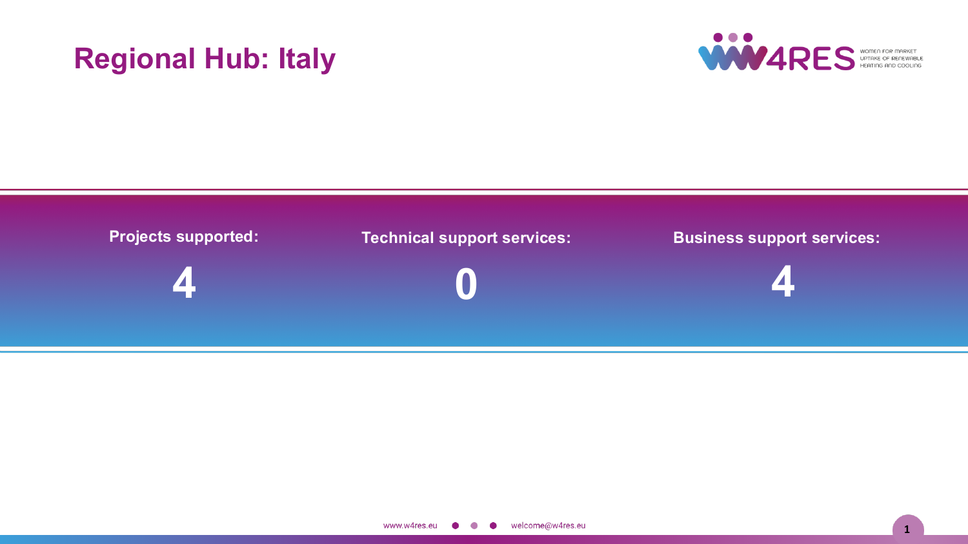# **Regional Hub: Italy**



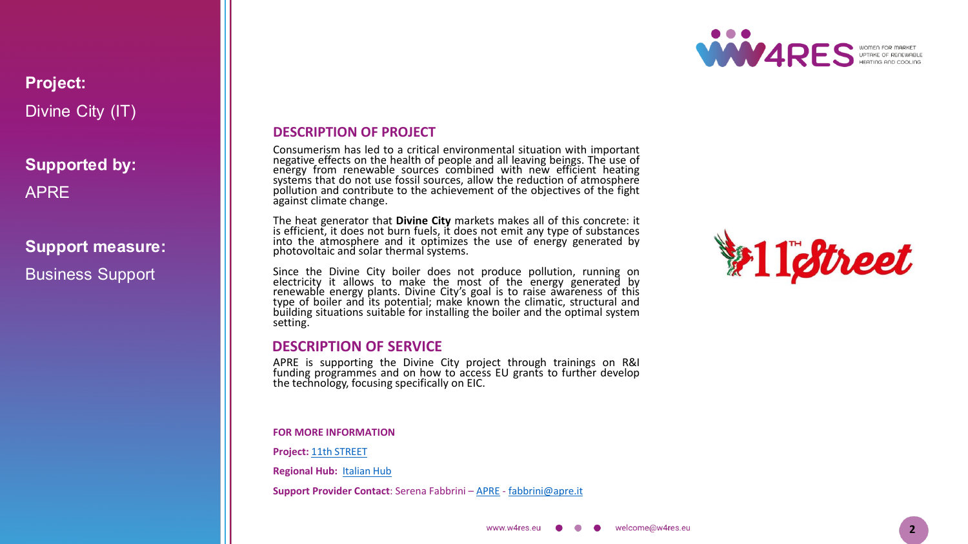

### **Project:** Divine City (IT)

**Supported by:** APRE

### **Support measure:**

Business Support

### **DESCRIPTION OF PROJECT**

Consumerism has led to a critical environmental situation with important negative effects on the health of people and all leaving beings . The use of energy from renewable sources combined with new efficient heating systems that do not use fossil sources, allow the reduction of atmosphere pollution and contribute to the achievement of the objectives of the fight against climate change .

The heat generator that **Divine City** markets makes all of this concrete : it is efficient, it does not burn fuels, it does not emit any type of substances into the atmosphere and it optimizes the use of energy generated by photovoltaic and solar thermal systems .

Since the Divine City boiler does not produce pollution, running on electricity it allows to make the most of the energy generated by renewable energy plants. Divine City's goal is to raise awareness of this type of boiler and its potential; make known the climatic, structural and building situations suitable for installing the boiler and the optimal system setting .

### **DESCRIPTION OF SERVICE**

APRE is supporting the Divine City project through trainings on R&I funding programmes and on how to access EU grants to further develop the technology, focusing specifically on EIC .

**FOR MORE INFORMATION**

**Project :** 11th [STREET](https://11street.wixsite.com/11thstreet/copia-di-caldaia-elettro-ionica)

**Regional Hub :** [Italian](https://w4resobservatory.eu/regional-hubs/hub-italy/) Hub

**Support Provider Contact** : Serena Fabbrini – [APRE](http://www.apre.it/) - [fabbrini@apre](mailto:fabbrini@apre.it) .it

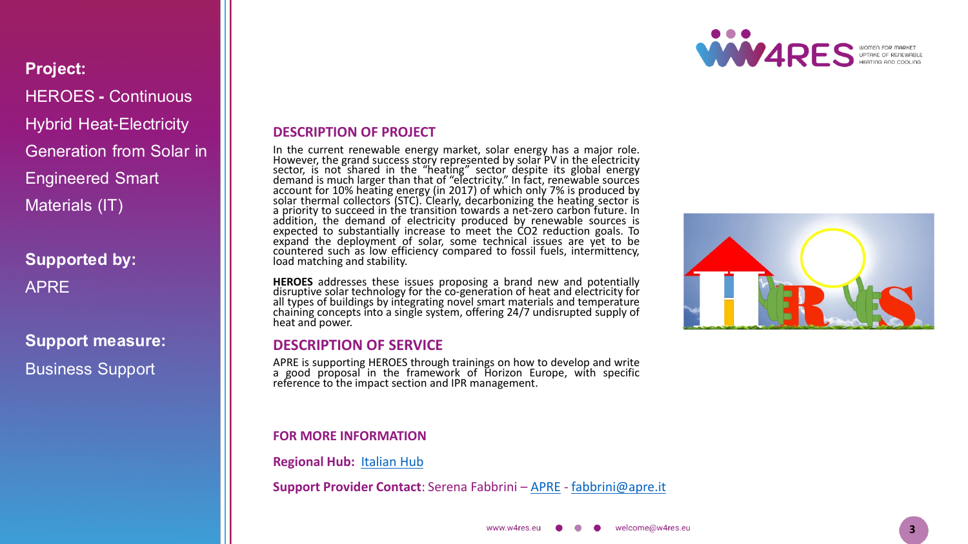

**Project:** HEROES **-** Continuous Hybrid Heat -Electricity Generation from Solar in Engineered Smart Materials (IT)

**Supported by:** APRE

**Support measure:** Business Support

### **DESCRIPTION OF PROJECT**

In the current renewable energy market, solar energy has a major role . However, the grand success story represented by solar PV in the electricity sector, is not shared in the "heating" sector despite its global energy demand is much larger than that of "electricity . " In fact, renewable sources account for 10 % heating energy (in 2017 ) of which only 7 % is produced by solar thermal collectors (STC) . Clearly, decarbonizing the heating sector is a priority to succeed in the transition towards a net -zero carbon future . In addition, the demand of electricity produced by renewable sources is expected to substantially increase to meet the CO 2 reduction goals . To expand the deployment of solar, some technical issues are yet to be countered such as low efficiency compared to fossil fuels, intermittency, load matching and stability .

**HEROES** addresses these issues proposing a brand new and potentially disruptive solar technology for the co -generation of heat and electricity for all types of buildings by integrating novel smart materials and temperature chaining concepts into a single system, offering 24/7 undisrupted supply of heat and power.

### **DESCRIPTION OF SERVICE**

APRE is supporting HEROES through trainings on how to develop and write <sup>a</sup> good proposal in the framework of Horizon Europe, with specific reference to the impact section and IPR management.

#### **FOR MORE INFORMATION**

**Regional Hub :** [Italian](https://w4resobservatory.eu/regional-hubs/hub-italy/) Hub

**Support Provider Contact** : Serena Fabbrini – [APRE](http://www.apre.it/) - [fabbrini@apre](mailto:fabbrini@apre.it) .it

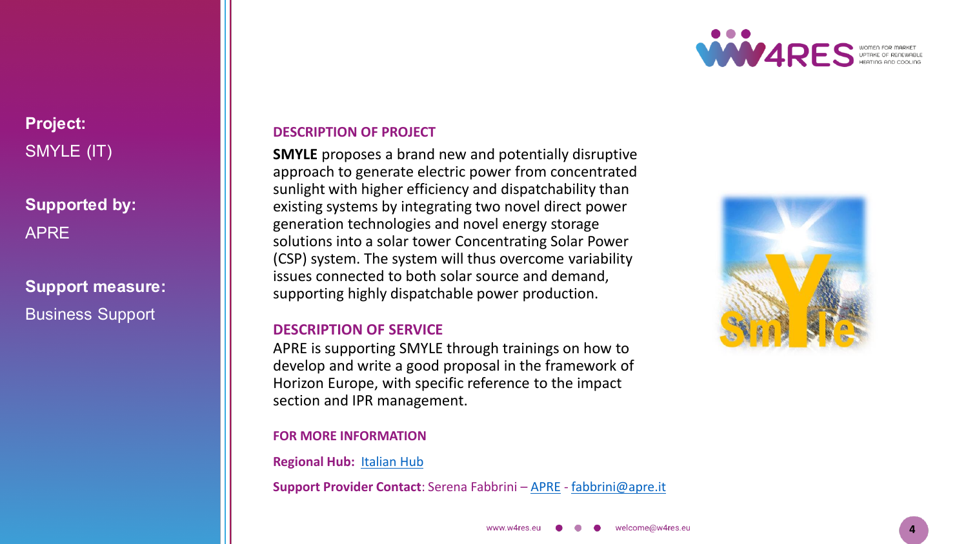

# **Project:** SMYLE (IT)

### **Supported by:** APRE

# **Support measure:** Business Support

### **DESCRIPTION OF PROJECT**

**SMYLE** proposes a brand new and potentially disruptive approach to generate electric power from concentrated sunlight with higher efficiency and dispatchability than existing systems by integrating two novel direct power generation technologies and novel energy storage solutions into a solar tower Concentrating Solar Power (CSP) system. The system will thus overcome variability issues connected to both solar source and demand, supporting highly dispatchable power production.

### **DESCRIPTION OF SERVICE**

APRE is supporting SMYLE through trainings on how to develop and write a good proposal in the framework of Horizon Europe, with specific reference to the impact section and IPR management.

#### **FOR MORE INFORMATION**

**Regional Hub :** [Italian](https://w4resobservatory.eu/regional-hubs/hub-italy/) Hub

**Support Provider Contact** : Serena Fabbrini – [APRE](http://www.apre.it/) - [fabbrini@apre](mailto:fabbrini@apre.it) .it